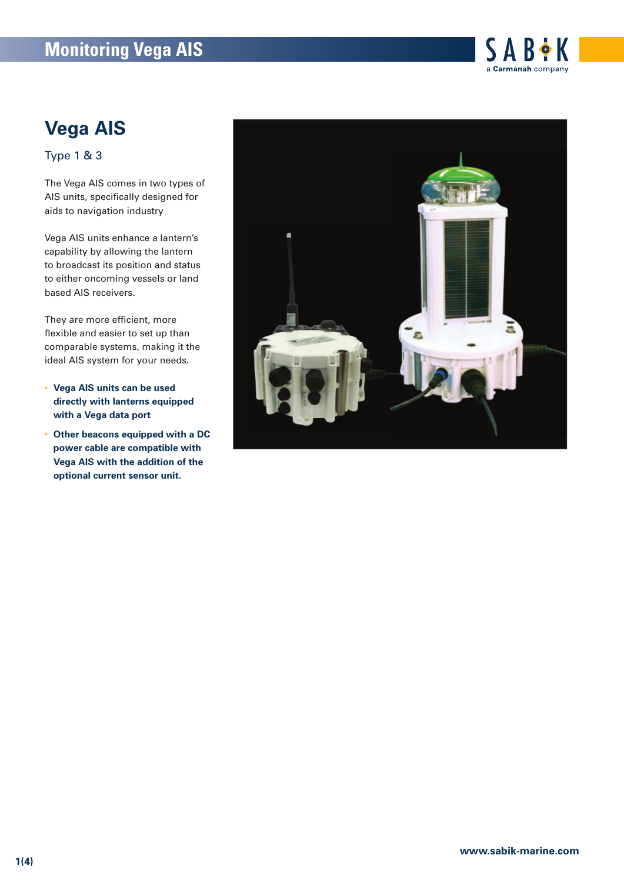## **Monitoring Vega AIS**



# **Vega AIS**

Type 1 & 3

The Vega AIS comes in two types of AIS units, specifically designed for aids to navigation industry

Vega AIS units enhance a lantern's capability by allowing the lantern to broadcast its position and status to either oncoming vessels or land based AIS receivers.

They are more efficient, more flexible and easier to set up than comparable systems, making it the ideal AIS system for your needs.

- **Vega AIS units can be used directly with lanterns equipped with a Vega data port**
- **Other beacons equipped with a DC power cable are compatible with Vega AIS with the addition of the optional current sensor unit.**

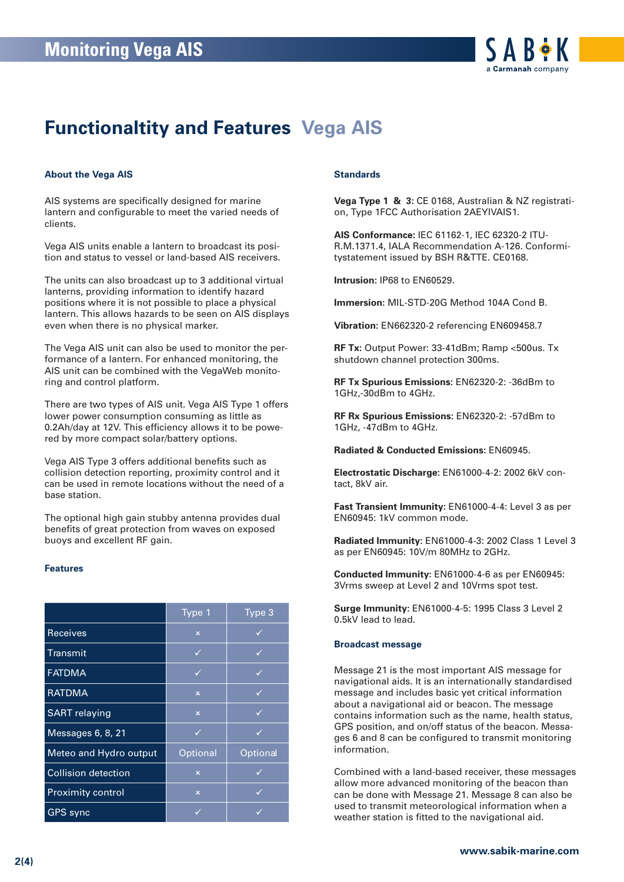

## **Functionaltity and Features Vega AIS**

#### **About the Vega AIS**

AIS systems are specifically designed for marine lantern and configurable to meet the varied needs of clients.

Vega AIS units enable a lantern to broadcast its position and status to vessel or land-based AIS receivers.

The units can also broadcast up to 3 additional virtual lanterns, providing information to identify hazard positions where it is not possible to place a physical lantern. This allows hazards to be seen on AIS displays even when there is no physical marker.

The Vega AIS unit can also be used to monitor the performance of a lantern. For enhanced monitoring, the AIS unit can be combined with the VegaWeb monitoring and control platform.

There are two types of AIS unit. Vega AIS Type 1 offers lower power consumption consuming as little as 0.2Ah/day at 12V. This efficiency allows it to be powered by more compact solar/battery options.

Vega AIS Type 3 offers additional benefits such as collision detection reporting, proximity control and it can be used in remote locations without the need of a base station.

The optional high gain stubby antenna provides dual benefits of great protection from waves on exposed buoys and excellent RF gain.

#### **Features**

|                            | Type 1                  | Type 3   |
|----------------------------|-------------------------|----------|
| <b>Receives</b>            | $\overline{\mathsf{x}}$ | ✓        |
| Transmit                   | ✓                       |          |
| <b>FATDMA</b>              | ✓                       | ✓        |
| <b>RATDMA</b>              | $\overline{\mathsf{x}}$ | ✓        |
| <b>SART</b> relaying       | $\overline{\mathsf{x}}$ | ✓        |
| Messages 6, 8, 21          | ✓                       | ✓        |
| Meteo and Hydro output     | Optional                | Optional |
| <b>Collision detection</b> | $\overline{\mathsf{x}}$ | ✓        |
| <b>Proximity control</b>   | $\overline{\mathsf{x}}$ | ✓        |
| <b>GPS</b> sync            |                         |          |

#### **Standards**

**Vega Type 1 & 3:** CE 0168, Australian & NZ registration, Type 1FCC Authorisation 2AEYIVAIS1.

**AIS Conformance:** IEC 61162-1, IEC 62320-2 ITU-R.M.1371.4, IALA Recommendation A-126. Conformitystatement issued by BSH R&TTE. CE0168.

**Intrusion:** IP68 to EN60529.

**Immersion:** MIL-STD-20G Method 104A Cond B.

**Vibration:** EN662320-2 referencing EN609458.7

**RF Tx:** Output Power: 33-41dBm; Ramp <500us. Tx shutdown channel protection 300ms.

**RF Tx Spurious Emissions:** EN62320-2: -36dBm to 1GHz,-30dBm to 4GHz.

**RF Rx Spurious Emissions:** EN62320-2: -57dBm to 1GHz, -47dBm to 4GHz.

**Radiated & Conducted Emissions:** EN60945.

**Electrostatic Discharge:** EN61000-4-2: 2002 6kV contact, 8kV air.

**Fast Transient Immunity:** EN61000-4-4: Level 3 as per EN60945: 1kV common mode.

**Radiated Immunity:** EN61000-4-3: 2002 Class 1 Level 3 as per EN60945: 10V/m 80MHz to 2GHz.

**Conducted Immunity:** EN61000-4-6 as per EN60945: 3Vrms sweep at Level 2 and 10Vrms spot test.

**Surge Immunity:** EN61000-4-5: 1995 Class 3 Level 2 0.5kV lead to lead.

#### **Broadcast message**

Message 21 is the most important AIS message for navigational aids. It is an internationally standardised message and includes basic yet critical information about a navigational aid or beacon. The message contains information such as the name, health status, GPS position, and on/off status of the beacon. Messages 6 and 8 can be configured to transmit monitoring information.

Combined with a land-based receiver, these messages allow more advanced monitoring of the beacon than can be done with Message 21. Message 8 can also be used to transmit meteorological information when a weather station is fitted to the navigational aid.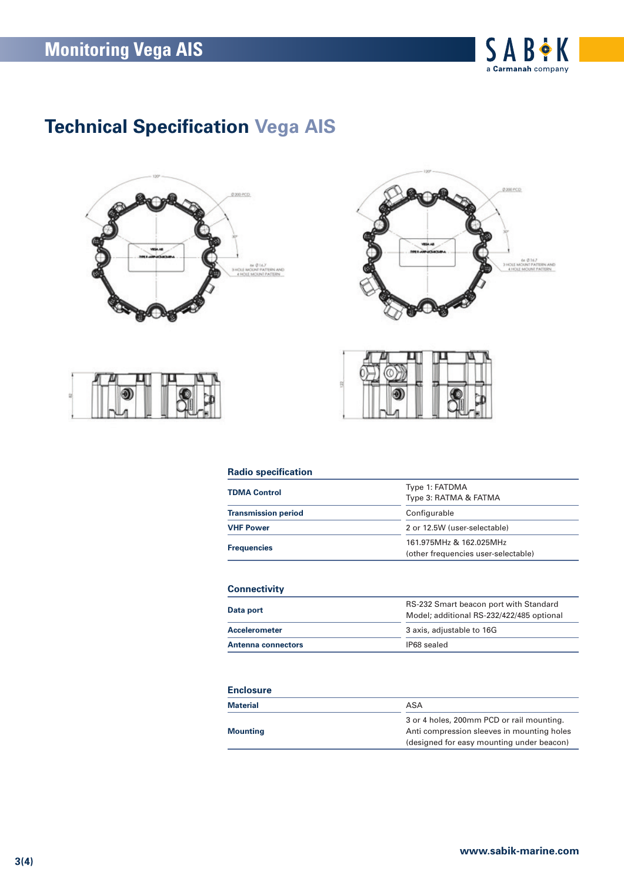

# **Technical Specification Vega AIS**









### **Radio specification**

| <b>TDMA Control</b>        | Type 1: FATDMA<br>Type 3: RATMA & FATMA                        |  |
|----------------------------|----------------------------------------------------------------|--|
| <b>Transmission period</b> | Configurable<br>2 or 12.5W (user-selectable)                   |  |
| <b>VHF Power</b>           |                                                                |  |
| <b>Frequencies</b>         | 161.975MHz & 162.025MHz<br>(other frequencies user-selectable) |  |

### **Connectivity**

| Data port                 | RS-232 Smart beacon port with Standard<br>Model; additional RS-232/422/485 optional |  |
|---------------------------|-------------------------------------------------------------------------------------|--|
| <b>Accelerometer</b>      | 3 axis, adjustable to 16G                                                           |  |
| <b>Antenna connectors</b> | IP68 sealed                                                                         |  |

#### **Enclosure**

| Material        | ASA                                        |
|-----------------|--------------------------------------------|
|                 | 3 or 4 holes, 200mm PCD or rail mounting.  |
| <b>Mounting</b> | Anti compression sleeves in mounting holes |
|                 | (designed for easy mounting under beacon)  |